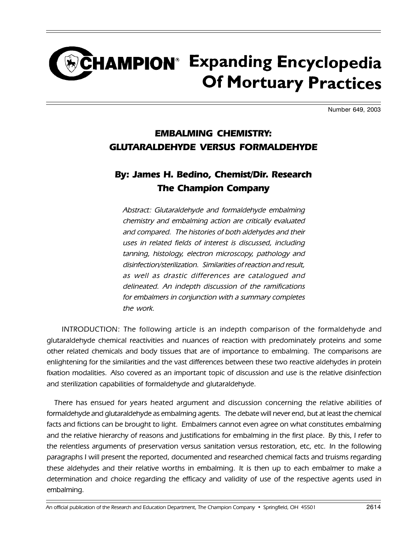## CHAMPION<sup>®</sup> Expanding Encyclopedia **Of Mortuary Practices**

Number 649, 2003

## EMBALMING CHEMISTRY: GLUTARALDEHYDE VERSUS FORMALDEHYDE

## By: James H. Bedino, Chemist/Dir. Research The Champion Company

Abstract: Glutaraldehyde and formaldehyde embalming chemistry and embalming action are critically evaluated and compared. The histories of both aldehydes and their uses in related fields of interest is discussed, including tanning, histology, electron microscopy, pathology and disinfection/sterilization. Similarities of reaction and result, as well as drastic differences are catalogued and delineated. An indepth discussion of the ramifications for embalmers in conjunction with a summary completes the work.

INTRODUCTION: The following article is an indepth comparison of the formaldehyde and glutaraldehyde chemical reactivities and nuances of reaction with predominately proteins and some other related chemicals and body tissues that are of importance to embalming. The comparisons are enlightening for the similarities and the vast differences between these two reactive aldehydes in protein fixation modalities. Also covered as an important topic of discussion and use is the relative disinfection and sterilization capabilities of formaldehyde and glutaraldehyde.

There has ensued for years heated argument and discussion concerning the relative abilities of formaldehyde and glutaraldehyde as embalming agents. The debate will never end, but at least the chemical facts and fictions can be brought to light. Embalmers cannot even agree on what constitutes embalming and the relative hierarchy of reasons and justifications for embalming in the first place. By this, I refer to the relentless arguments of preservation versus sanitation versus restoration, etc, etc. In the following paragraphs I will present the reported, documented and researched chemical facts and truisms regarding these aldehydes and their relative worths in embalming. It is then up to each embalmer to make a determination and choice regarding the efficacy and validity of use of the respective agents used in embalming.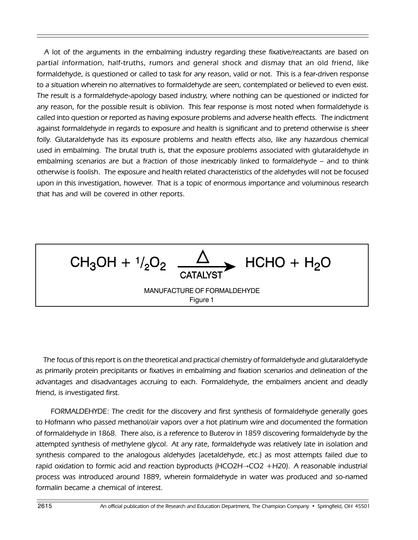A lot of the arguments in the embalming industry regarding these fixative/reactants are based on partial information, half-truths, rumors and general shock and dismay that an old friend, like formaldehyde, is questioned or called to task for any reason, valid or not. This is a fear-driven response to a situation wherein no alternatives to formaldehyde are seen, contemplated or believed to even exist. The result is a formaldehyde-apology based industry, where nothing can be questioned or indicted for any reason, for the possible result is oblivion. This fear response is most noted when formaldehyde is called into question or reported as having exposure problems and adverse health effects. The indictment against formaldehyde in regards to exposure and health is significant and to pretend otherwise is sheer folly. Glutaraldehyde has its exposure problems and health effects also, like any hazardous chemical used in embalming. The brutal truth is, that the exposure problems associated with glutaraldehyde in embalming scenarios are but a fraction of those inextricably linked to formaldehyde – and to think otherwise is foolish. The exposure and health related characteristics of the aldehydes will not be focused upon in this investigation, however. That is a topic of enormous importance and voluminous research that has and will be covered in other reports.



The focus of this report is on the theoretical and practical chemistry of formaldehyde and glutaraldehyde as primarily protein precipitants or fixatives in embalming and fixation scenarios and delineation of the advantages and disadvantages accruing to each. Formaldehyde, the embalmers ancient and deadly friend, is investigated first.

FORMALDEHYDE: The credit for the discovery and first synthesis of formaldehyde generally goes to Hofmann who passed methanol/air vapors over a hot platinum wire and documented the formation of formaldehyde in 1868. There also, is a reference to Buterov in 1859 discovering formaldehyde by the attempted synthesis of methylene glycol. At any rate, formaldehyde was relatively late in isolation and synthesis compared to the analogous aldehydes (acetaldehyde, etc.) as most attempts failed due to rapid oxidation to formic acid and reaction byproducts  $(HCO2H \rightarrow CO2 + H20)$ . A reasonable industrial process was introduced around 1889, wherein formaldehyde in water was produced and so-named formalin became a chemical of interest.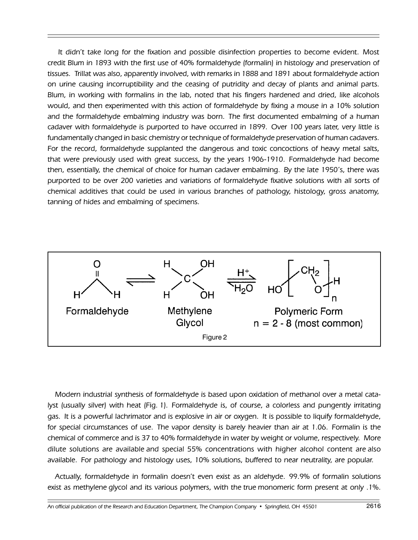It didnít take long for the fixation and possible disinfection properties to become evident. Most credit Blum in 1893 with the first use of 40% formaldehyde (formalin) in histology and preservation of tissues. Trillat was also, apparently involved, with remarks in 1888 and 1891 about formaldehyde action on urine causing incorruptibility and the ceasing of putridity and decay of plants and animal parts. Blum, in working with formalins in the lab, noted that his fingers hardened and dried, like alcohols would, and then experimented with this action of formaldehyde by fixing a mouse in a 10% solution and the formaldehyde embalming industry was born. The first documented embalming of a human cadaver with formaldehyde is purported to have occurred in 1899. Over 100 years later, very little is fundamentally changed in basic chemistry or technique of formaldehyde preservation of human cadavers. For the record, formaldehyde supplanted the dangerous and toxic concoctions of heavy metal salts, that were previously used with great success, by the years 1906-1910. Formaldehyde had become then, essentially, the chemical of choice for human cadaver embalming. By the late 1950ís, there was purported to be over 200 varieties and variations of formaldehyde fixative solutions with all sorts of chemical additives that could be used in various branches of pathology, histology, gross anatomy, tanning of hides and embalming of specimens.



Modern industrial synthesis of formaldehyde is based upon oxidation of methanol over a metal catalyst (usually silver) with heat (Fig. 1). Formaldehyde is, of course, a colorless and pungently irritating gas. It is a powerful lachrimator and is explosive in air or oxygen. It is possible to liquify formaldehyde, for special circumstances of use. The vapor density is barely heavier than air at 1.06. Formalin is the chemical of commerce and is 37 to 40% formaldehyde in water by weight or volume, respectively. More dilute solutions are available and special 55% concentrations with higher alcohol content are also available. For pathology and histology uses, 10% solutions, buffered to near neutrality, are popular.

Actually, formaldehyde in formalin doesnít even exist as an aldehyde. 99.9% of formalin solutions exist as methylene glycol and its various polymers, with the true monomeric form present at only .1%.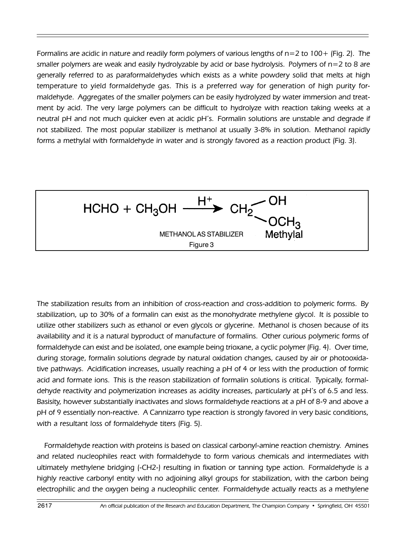Formalins are acidic in nature and readily form polymers of various lengths of  $n=2$  to  $100+$  (Fig. 2). The smaller polymers are weak and easily hydrolyzable by acid or base hydrolysis. Polymers of  $n=2$  to 8 are generally referred to as paraformaldehydes which exists as a white powdery solid that melts at high temperature to yield formaldehyde gas. This is a preferred way for generation of high purity formaldehyde. Aggregates of the smaller polymers can be easily hydrolyzed by water immersion and treatment by acid. The very large polymers can be difficult to hydrolyze with reaction taking weeks at a neutral pH and not much quicker even at acidic pH's. Formalin solutions are unstable and degrade if not stabilized. The most popular stabilizer is methanol at usually 3-8% in solution. Methanol rapidly forms a methylal with formaldehyde in water and is strongly favored as a reaction product (Fig. 3).

 $HCHO + CH<sub>3</sub>OH \xrightarrow{H^{+}} CH<sub>2</sub>$  OF Methylal METHANOL AS STABILIZER Figure 3

The stabilization results from an inhibition of cross-reaction and cross-addition to polymeric forms. By stabilization, up to 30% of a formalin can exist as the monohydrate methylene glycol. It is possible to utilize other stabilizers such as ethanol or even glycols or glycerine. Methanol is chosen because of its availability and it is a natural byproduct of manufacture of formalins. Other curious polymeric forms of formaldehyde can exist and be isolated, one example being trioxane, a cyclic polymer (Fig. 4). Over time, during storage, formalin solutions degrade by natural oxidation changes, caused by air or photooxidative pathways. Acidification increases, usually reaching a pH of 4 or less with the production of formic acid and formate ions. This is the reason stabilization of formalin solutions is critical. Typically, formaldehyde reactivity and polymerization increases as acidity increases, particularly at pHís of 6.5 and less. Basisity, however substantially inactivates and slows formaldehyde reactions at a pH of 8-9 and above a pH of 9 essentially non-reactive. A Cannizarro type reaction is strongly favored in very basic conditions, with a resultant loss of formaldehyde titers (Fig. 5).

Formaldehyde reaction with proteins is based on classical carbonyl-amine reaction chemistry. Amines and related nucleophiles react with formaldehyde to form various chemicals and intermediates with ultimately methylene bridging (-CH2-) resulting in fixation or tanning type action. Formaldehyde is a highly reactive carbonyl entity with no adjoining alkyl groups for stabilization, with the carbon being electrophilic and the oxygen being a nucleophilic center. Formaldehyde actually reacts as a methylene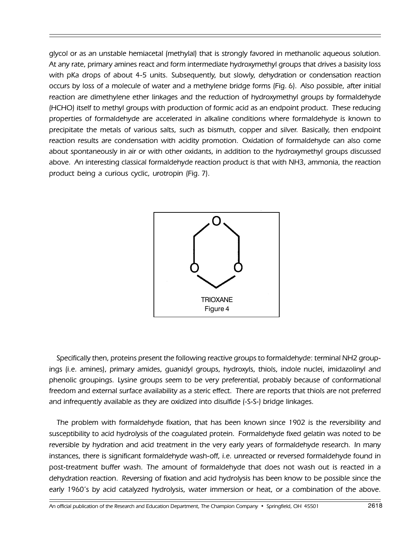glycol or as an unstable hemiacetal (methylal) that is strongly favored in methanolic aqueous solution. At any rate, primary amines react and form intermediate hydroxymethyl groups that drives a basisity loss with pKa drops of about 4-5 units. Subsequently, but slowly, dehydration or condensation reaction occurs by loss of a molecule of water and a methylene bridge forms (Fig. 6). Also possible, after initial reaction are dimethylene ether linkages and the reduction of hydroxymethyl groups by formaldehyde (HCHO) itself to methyl groups with production of formic acid as an endpoint product. These reducing properties of formaldehyde are accelerated in alkaline conditions where formaldehyde is known to precipitate the metals of various salts, such as bismuth, copper and silver. Basically, then endpoint reaction results are condensation with acidity promotion. Oxidation of formaldehyde can also come about spontaneously in air or with other oxidants, in addition to the hydroxymethyl groups discussed above. An interesting classical formaldehyde reaction product is that with NH3, ammonia, the reaction product being a curious cyclic, urotropin (Fig. 7).



Specifically then, proteins present the following reactive groups to formaldehyde: terminal NH2 groupings (i.e. amines), primary amides, guanidyl groups, hydroxyls, thiols, indole nuclei, imidazolinyl and phenolic groupings. Lysine groups seem to be very preferential, probably because of conformational freedom and external surface availability as a steric effect. There are reports that thiols are not preferred and infrequently available as they are oxidized into disulfide (-S-S-) bridge linkages.

The problem with formaldehyde fixation, that has been known since 1902 is the reversibility and susceptibility to acid hydrolysis of the coagulated protein. Formaldehyde fixed gelatin was noted to be reversible by hydration and acid treatment in the very early years of formaldehyde research. In many instances, there is significant formaldehyde wash-off, i.e. unreacted or reversed formaldehyde found in post-treatment buffer wash. The amount of formaldehyde that does not wash out is reacted in a dehydration reaction. Reversing of fixation and acid hydrolysis has been know to be possible since the early 1960ís by acid catalyzed hydrolysis, water immersion or heat, or a combination of the above.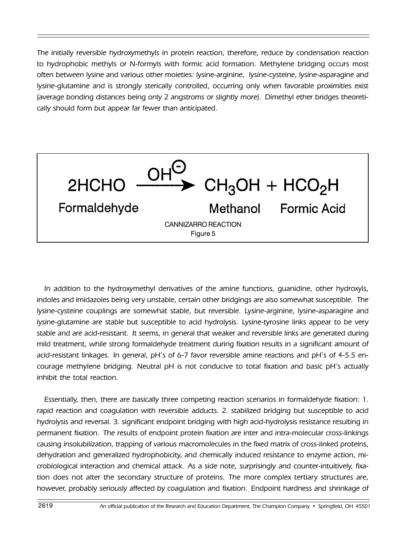The initially reversible hydroxymethyls in protein reaction, therefore, reduce by condensation reaction to hydrophobic methyls or N-formyls with formic acid formation. Methylene bridging occurs most often between lysine and various other moieties: lysine-arginine, lysine-cysteine, lysine-asparagine and lysine-glutamine and is strongly sterically controlled, occurring only when favorable proximities exist (average bonding distances being only 2 angstroms or slightly more). Dimethyl ether bridges theoretically should form but appear far fewer than anticipated.



In addition to the hydroxymethyl derivatives of the amine functions, guanidine, other hydroxyls, indoles and imidazoles being very unstable, certain other bridgings are also somewhat susceptible. The lysine-cysteine couplings are somewhat stable, but reversible. Lysine-arginine, lysine-asparagine and lysine-glutamine are stable but susceptible to acid hydrolysis. Lysine-tyrosine links appear to be very stable and are acid-resistant. It seems, in general that weaker and reversible links are generated during mild treatment, while strong formaldehyde treatment during fixation results in a significant amount of acid-resistant linkages. In general, pHís of 6-7 favor reversible amine reactions and pHís of 4-5.5 encourage methylene bridging. Neutral pH is not conducive to total fixation and basic pHís actually inhibit the total reaction.

Essentially, then, there are basically three competing reaction scenarios in formaldehyde fixation: 1. rapid reaction and coagulation with reversible adducts. 2. stabilized bridging but susceptible to acid hydrolysis and reversal. 3. significant endpoint bridging with high acid-hydrolysis resistance resulting in permanent fixation. The results of endpoint protein fixation are inter and intra-molecular cross-linkings causing insolubilization, trapping of various macromolecules in the fixed matrix of cross-linked proteins, dehydration and generalized hydrophobicity, and chemically induced resistance to enzyme action, microbiological interaction and chemical attack. As a side note, surprisingly and counter-intuitively, fixation does not alter the secondary structure of proteins. The more complex tertiary structures are, however, probably seriously affected by coagulation and fixation. Endpoint hardness and shrinkage of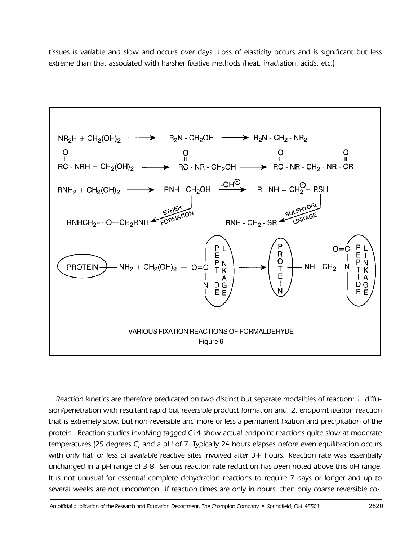tissues is variable and slow and occurs over days. Loss of elasticity occurs and is significant but less extreme than that associated with harsher fixative methods (heat, irradiation, acids, etc.)



Reaction kinetics are therefore predicated on two distinct but separate modalities of reaction: 1. diffusion/penetration with resultant rapid but reversible product formation and, 2. endpoint fixation reaction that is extremely slow, but non-reversible and more or less a permanent fixation and precipitation of the protein. Reaction studies involving tagged C14 show actual endpoint reactions quite slow at moderate temperatures (25 degrees C) and a pH of 7. Typically 24 hours elapses before even equilibration occurs with only half or less of available reactive sites involved after 3+ hours. Reaction rate was essentially unchanged in a pH range of 3-8. Serious reaction rate reduction has been noted above this pH range. It is not unusual for essential complete dehydration reactions to require 7 days or longer and up to several weeks are not uncommon. If reaction times are only in hours, then only coarse reversible co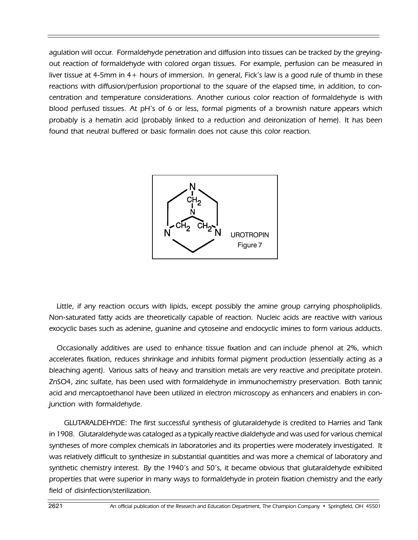agulation will occur. Formaldehyde penetration and diffusion into tissues can be tracked by the greyingout reaction of formaldehyde with colored organ tissues. For example, perfusion can be measured in liver tissue at 4-5mm in 4+ hours of immersion. In general, Fick's law is a good rule of thumb in these reactions with diffusion/perfusion proportional to the square of the elapsed time, in addition, to concentration and temperature considerations. Another curious color reaction of formaldehyde is with blood perfused tissues. At pHís of 6 or less, formal pigments of a brownish nature appears which probably is a hematin acid (probably linked to a reduction and deironization of heme). It has been found that neutral buffered or basic formalin does not cause this color reaction.



Little, if any reaction occurs with lipids, except possibly the amine group carrying phospholiplids. Non-saturated fatty acids are theoretically capable of reaction. Nucleic acids are reactive with various exocyclic bases such as adenine, guanine and cytoseine and endocyclic imines to form various adducts.

Occasionally additives are used to enhance tissue fixation and can include phenol at 2%, which accelerates fixation, reduces shrinkage and inhibits formal pigment production (essentially acting as a bleaching agent). Various salts of heavy and transition metals are very reactive and precipitate protein. ZnSO4, zinc sulfate, has been used with formaldehyde in immunochemistry preservation. Both tannic acid and mercaptoethanol have been utilized in electron microscopy as enhancers and enablers in conjunction with formaldehyde.

GLUTARALDEHYDE: The first successful synthesis of glutaraldehyde is credited to Harries and Tank in 1908. Glutaraldehyde was cataloged as a typically reactive dialdehyde and was used for various chemical syntheses of more complex chemicals in laboratories and its properties were moderately investigated. It was relatively difficult to synthesize in substantial quantities and was more a chemical of laboratory and synthetic chemistry interest. By the 1940's and 50's, it became obvious that glutaraldehyde exhibited properties that were superior in many ways to formaldehyde in protein fixation chemistry and the early field of disinfection/sterilization.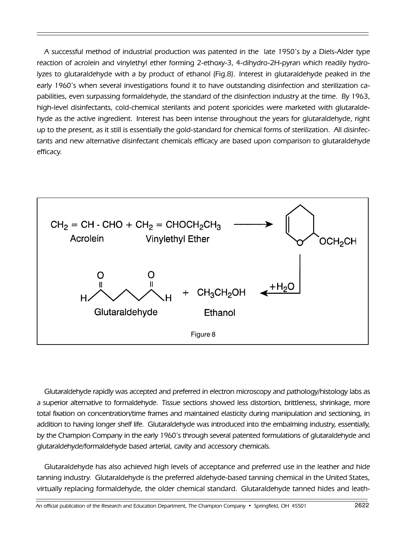A successful method of industrial production was patented in the late 1950ís by a Diels-Alder type reaction of acrolein and vinylethyl ether forming 2-ethoxy-3, 4-dihydro-2H-pyran which readily hydrolyzes to glutaraldehyde with a by product of ethanol (Fig.8). Interest in glutaraldehyde peaked in the early 1960ís when several investigations found it to have outstanding disinfection and sterilization capabilities, even surpassing formaldehyde, the standard of the disinfection industry at the time. By 1963, high-level disinfectants, cold-chemical sterilants and potent sporicides were marketed with glutaraldehyde as the active ingredient. Interest has been intense throughout the years for glutaraldehyde, right up to the present, as it still is essentially the gold-standard for chemical forms of sterilization. All disinfectants and new alternative disinfectant chemicals efficacy are based upon comparison to glutaraldehyde efficacy.



Glutaraldehyde rapidly was accepted and preferred in electron microscopy and pathology/histology labs as a superior alternative to formaldehyde. Tissue sections showed less distortion, brittleness, shrinkage, more total fixation on concentration/time frames and maintained elasticity during manipulation and sectioning, in addition to having longer shelf life. Glutaraldehyde was introduced into the embalming industry, essentially, by the Champion Company in the early 1960's through several patented formulations of glutaraldehyde and glutaraldehyde/formaldehyde based arterial, cavity and accessory chemicals.

Glutaraldehyde has also achieved high levels of acceptance and preferred use in the leather and hide tanning industry. Glutaraldehyde is the preferred aldehyde-based tanning chemical in the United States, virtually replacing formaldehyde, the older chemical standard. Glutaraldehyde tanned hides and leath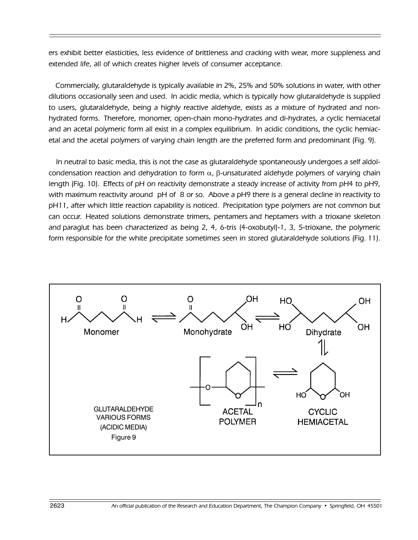ers exhibit better elasticities, less evidence of brittleness and cracking with wear, more suppleness and extended life, all of which creates higher levels of consumer acceptance.

Commercially, glutaraldehyde is typically available in 2%, 25% and 50% solutions in water, with other dilutions occasionally seen and used. In acidic media, which is typically how glutaraldehyde is supplied to users, glutaraldehyde, being a highly reactive aldehyde, exists as a mixture of hydrated and nonhydrated forms. Therefore, monomer, open-chain mono-hydrates and di-hydrates, a cyclic hemiacetal and an acetal polymeric form all exist in a complex equilibrium. In acidic conditions, the cyclic hemiacetal and the acetal polymers of varying chain length are the preferred form and predominant (Fig. 9).

In neutral to basic media, this is not the case as glutaraldehyde spontaneously undergoes a self aldolcondensation reaction and dehydration to form  $\alpha$ , β-unsaturated aldehyde polymers of varying chain length (Fig. 10). Effects of pH on reactivity demonstrate a steady increase of activity from pH4 to pH9, with maximum reactivity around pH of 8 or so. Above a pH9 there is a general decline in reactivity to pH11, after which little reaction capability is noticed. Precipitation type polymers are not common but can occur. Heated solutions demonstrate trimers, pentamers and heptamers with a trioxane skeleton and paraglut has been characterized as being 2, 4, 6-tris (4-oxobutyl)-1, 3, 5-trioxane, the polymeric form responsible for the white precipitate sometimes seen in stored glutaraldehyde solutions (Fig. 11).

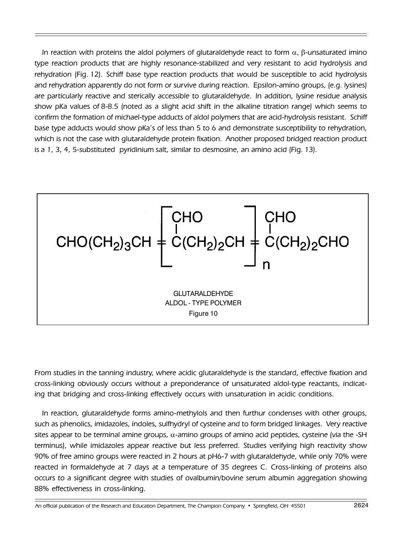In reaction with proteins the aldol polymers of glutaraldehyde react to form  $\alpha$ , β-unsaturated imino type reaction products that are highly resonance-stabilized and very resistant to acid hydrolysis and rehydration (Fig. 12). Schiff base type reaction products that would be susceptible to acid hydrolysis and rehydration apparently do not form or survive during reaction. Epsilon-amino groups, (e.g. lysines) are particularly reactive and sterically accessible to glutaraldehyde. In addition, lysine residue analysis show pKa values of 8-8.5 (noted as a slight acid shift in the alkaline titration range) which seems to confirm the formation of michael-type adducts of aldol polymers that are acid-hydrolysis resistant. Schiff base type adducts would show pKaís of less than 5 to 6 and demonstrate susceptibility to rehydration, which is not the case with glutaraldehyde protein fixation. Another proposed bridged reaction product is a 1, 3, 4, 5-substituted pyridinium salt, similar to desmosine, an amino acid (Fig. 13).



From studies in the tanning industry, where acidic glutaraldehyde is the standard, effective fixation and cross-linking obviously occurs without a preponderance of unsaturated aldol-type reactants, indicating that bridging and cross-linking effectively occurs with unsaturation in acidic conditions.

In reaction, glutaraldehyde forms amino-methylols and then furthur condenses with other groups, such as phenolics, imidazoles, indoles, sulfhydryl of cysteine and to form bridged linkages. Very reactive sites appear to be terminal amine groups, α-amino groups of amino acid peptides, cysteine (via the -SH terminus), while imidazoles appear reactive but less preferred. Studies verifying high reactivity show 90% of free amino groups were reacted in 2 hours at pH6-7 with glutaraldehyde, while only 70% were reacted in formaldehyde at 7 days at a temperature of 35 degrees C. Cross-linking of proteins also occurs to a significant degree with studies of ovalbumin/bovine serum albumin aggregation showing 88% effectiveness in cross-linking.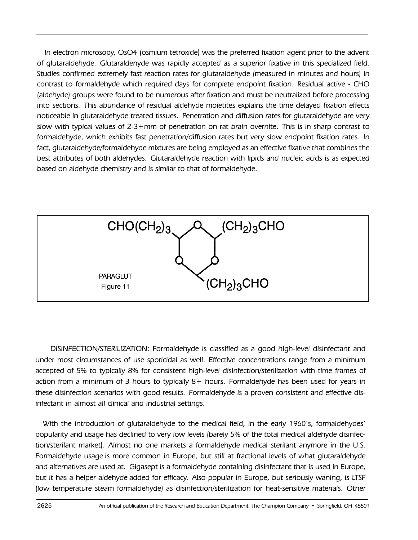In electron microsopy, OsO4 (osmium tetroxide) was the preferred fixation agent prior to the advent of glutaraldehyde. Glutaraldehyde was rapidly accepted as a superior fixative in this specialized field. Studies confirmed extremely fast reaction rates for glutaraldehyde (measured in minutes and hours) in contrast to formaldehyde which required days for complete endpoint fixation. Residual active - CHO (aldehyde) groups were found to be numerous after fixation and must be neutralized before processing into sections. This abundance of residual aldehyde moietites explains the time delayed fixation effects noticeable in glutaraldehyde treated tissues. Penetration and diffusion rates for glutaraldehyde are very slow with typical values of 2-3+mm of penetration on rat brain overnite. This is in sharp contrast to formaldehyde, which exhibits fast penetration/diffusion rates but very slow endpoint fixation rates. In fact, glutaraldehyde/formaldehyde mixtures are being employed as an effective fixative that combines the best attributes of both aldehydes. Glutaraldehyde reaction with lipids and nucleic acids is as expected based on aldehyde chemistry and is similar to that of formaldehyde.



DISINFECTION/STERILIZATION: Formaldehyde is classified as a good high-level disinfectant and under most circumstances of use sporicidal as well. Effective concentrations range from a minimum accepted of 5% to typically 8% for consistent high-level disinfection/sterilization with time frames of action from a minimum of 3 hours to typically 8+ hours. Formaldehyde has been used for years in these disinfection scenarios with good results. Formaldehyde is a proven consistent and effective disinfectant in almost all clinical and industrial settings.

With the introduction of glutaraldehyde to the medical field, in the early 1960's, formaldehydes' popularity and usage has declined to very low levels (barely 5% of the total medical aldehyde disinfection/sterilant market). Almost no one markets a formaldehyde medical sterilant anymore in the U.S. Formaldehyde usage is more common in Europe, but still at fractional levels of what glutaraldehyde and alternatives are used at. Gigasept is a formaldehyde containing disinfectant that is used in Europe, but it has a helper aldehyde added for efficacy. Also popular in Europe, but seriously waning, is LTSF (low temperature steam formaldehyde) as disinfection/sterilization for heat-sensitive materials. Other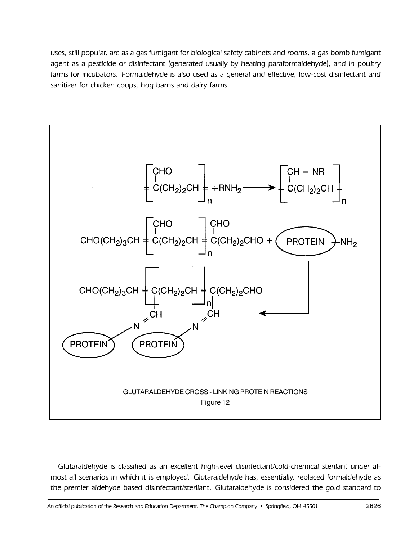uses, still popular, are as a gas fumigant for biological safety cabinets and rooms, a gas bomb fumigant agent as a pesticide or disinfectant (generated usually by heating paraformaldehyde), and in poultry farms for incubators. Formaldehyde is also used as a general and effective, low-cost disinfectant and sanitizer for chicken coups, hog barns and dairy farms.



Glutaraldehyde is classified as an excellent high-level disinfectant/cold-chemical sterilant under almost all scenarios in which it is employed. Glutaraldehyde has, essentially, replaced formaldehyde as the premier aldehyde based disinfectant/sterilant. Glutaraldehyde is considered the gold standard to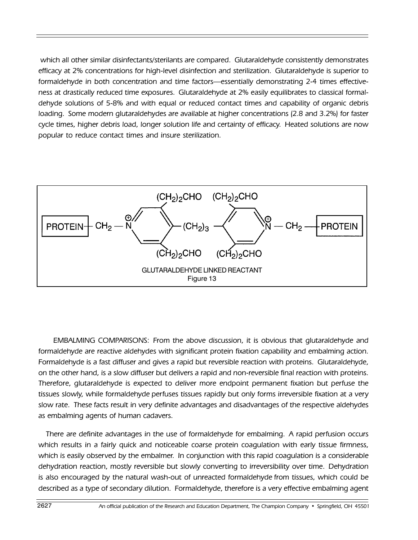which all other similar disinfectants/sterilants are compared. Glutaraldehyde consistently demonstrates efficacy at 2% concentrations for high-level disinfection and sterilization. Glutaraldehyde is superior to formaldehyde in both concentration and time factors—essentially demonstrating 2-4 times effectiveness at drastically reduced time exposures. Glutaraldehyde at 2% easily equilibrates to classical formaldehyde solutions of 5-8% and with equal or reduced contact times and capability of organic debris loading. Some modern glutaraldehydes are available at higher concentrations (2.8 and 3.2%) for faster cycle times, higher debris load, longer solution life and certainty of efficacy. Heated solutions are now popular to reduce contact times and insure sterilization.



EMBALMING COMPARISONS: From the above discussion, it is obvious that glutaraldehyde and formaldehyde are reactive aldehydes with significant protein fixation capability and embalming action. Formaldehyde is a fast diffuser and gives a rapid but reversible reaction with proteins. Glutaraldehyde, on the other hand, is a slow diffuser but delivers a rapid and non-reversible final reaction with proteins. Therefore, glutaraldehyde is expected to deliver more endpoint permanent fixation but perfuse the tissues slowly, while formaldehyde perfuses tissues rapidly but only forms irreversible fixation at a very slow rate. These facts result in very definite advantages and disadvantages of the respective aldehydes as embalming agents of human cadavers.

There are definite advantages in the use of formaldehyde for embalming. A rapid perfusion occurs which results in a fairly quick and noticeable coarse protein coagulation with early tissue firmness, which is easily observed by the embalmer. In conjunction with this rapid coagulation is a considerable dehydration reaction, mostly reversible but slowly converting to irreversibility over time. Dehydration is also encouraged by the natural wash-out of unreacted formaldehyde from tissues, which could be described as a type of secondary dilution. Formaldehyde, therefore is a very effective embalming agent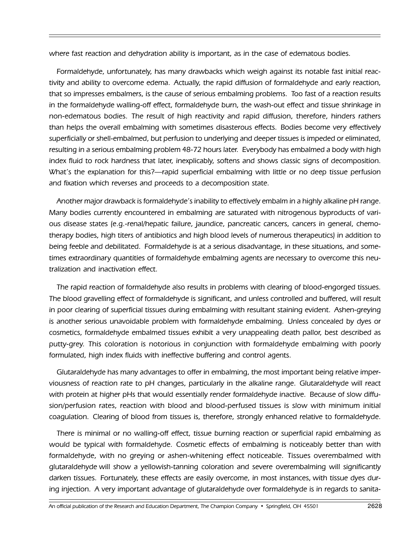where fast reaction and dehydration ability is important, as in the case of edematous bodies.

Formaldehyde, unfortunately, has many drawbacks which weigh against its notable fast initial reactivity and ability to overcome edema. Actually, the rapid diffusion of formaldehyde and early reaction, that so impresses embalmers, is the cause of serious embalming problems. Too fast of a reaction results in the formaldehyde walling-off effect, formaldehyde burn, the wash-out effect and tissue shrinkage in non-edematous bodies. The result of high reactivity and rapid diffusion, therefore, hinders rathers than helps the overall embalming with sometimes disasterous effects. Bodies become very effectively superficially or shell-embalmed, but perfusion to underlying and deeper tissues is impeded or eliminated, resulting in a serious embalming problem 48-72 hours later. Everybody has embalmed a body with high index fluid to rock hardness that later, inexplicably, softens and shows classic signs of decomposition. What's the explanation for this?—rapid superficial embalming with little or no deep tissue perfusion and fixation which reverses and proceeds to a decomposition state.

Another major drawback is formaldehydeís inability to effectively embalm in a highly alkaline pH range. Many bodies currently encountered in embalming are saturated with nitrogenous byproducts of various disease states (e.g.-renal/hepatic failure, jaundice, pancreatic cancers, cancers in general, chemotherapy bodies, high titers of antibiotics and high blood levels of numerous therapeutics) in addition to being feeble and debilitated. Formaldehyde is at a serious disadvantage, in these situations, and sometimes extraordinary quantities of formaldehyde embalming agents are necessary to overcome this neutralization and inactivation effect.

The rapid reaction of formaldehyde also results in problems with clearing of blood-engorged tissues. The blood gravelling effect of formaldehyde is significant, and unless controlled and buffered, will result in poor clearing of superficial tissues during embalming with resultant staining evident. Ashen-greying is another serious unavoidable problem with formaldehyde embalming. Unless concealed by dyes or cosmetics, formaldehyde embalmed tissues exhibit a very unappealing death pallor, best described as putty-grey. This coloration is notorious in conjunction with formaldehyde embalming with poorly formulated, high index fluids with ineffective buffering and control agents.

Glutaraldehyde has many advantages to offer in embalming, the most important being relative imperviousness of reaction rate to pH changes, particularly in the alkaline range. Glutaraldehyde will react with protein at higher pHs that would essentially render formaldehyde inactive. Because of slow diffusion/perfusion rates, reaction with blood and blood-perfused tissues is slow with minimum initial coagulation. Clearing of blood from tissues is, therefore, strongly enhanced relative to formaldehyde.

There is minimal or no walling-off effect, tissue burning reaction or superficial rapid embalming as would be typical with formaldehyde. Cosmetic effects of embalming is noticeably better than with formaldehyde, with no greying or ashen-whitening effect noticeable. Tissues overembalmed with glutaraldehyde will show a yellowish-tanning coloration and severe overembalming will significantly darken tissues. Fortunately, these effects are easily overcome, in most instances, with tissue dyes during injection. A very important advantage of glutaraldehyde over formaldehyde is in regards to sanita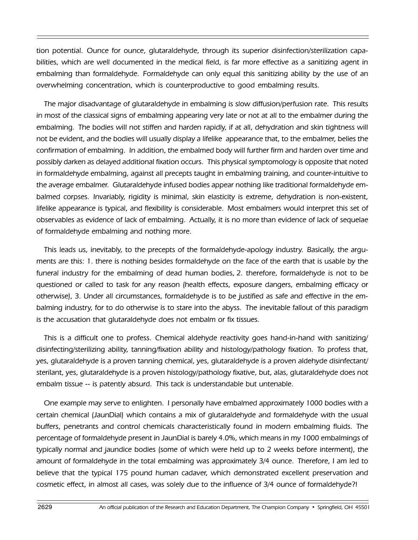tion potential. Ounce for ounce, glutaraldehyde, through its superior disinfection/sterilization capabilities, which are well documented in the medical field, is far more effective as a sanitizing agent in embalming than formaldehyde. Formaldehyde can only equal this sanitizing ability by the use of an overwhelming concentration, which is counterproductive to good embalming results.

The major disadvantage of glutaraldehyde in embalming is slow diffusion/perfusion rate. This results in most of the classical signs of embalming appearing very late or not at all to the embalmer during the embalming. The bodies will not stiffen and harden rapidly, if at all, dehydration and skin tightness will not be evident, and the bodies will usually display a lifelike appearance that, to the embalmer, belies the confirmation of embalming. In addition, the embalmed body will further firm and harden over time and possibly darken as delayed additional fixation occurs. This physical symptomology is opposite that noted in formaldehyde embalming, against all precepts taught in embalming training, and counter-intuitive to the average embalmer. Glutaraldehyde infused bodies appear nothing like traditional formaldehyde embalmed corpses. Invariably, rigidity is minimal, skin elasticity is extreme, dehydration is non-existent, lifelike appearance is typical, and flexibility is considerable. Most embalmers would interpret this set of observables as evidence of lack of embalming. Actually, it is no more than evidence of lack of sequelae of formaldehyde embalming and nothing more.

This leads us, inevitably, to the precepts of the formaldehyde-apology industry. Basically, the arguments are this: 1. there is nothing besides formaldehyde on the face of the earth that is usable by the funeral industry for the embalming of dead human bodies, 2. therefore, formaldehyde is not to be questioned or called to task for any reason (health effects, exposure dangers, embalming efficacy or otherwise), 3. Under all circumstances, formaldehyde is to be justified as safe and effective in the embalming industry, for to do otherwise is to stare into the abyss. The inevitable fallout of this paradigm is the accusation that glutaraldehyde does not embalm or fix tissues.

This is a difficult one to profess. Chemical aldehyde reactivity goes hand-in-hand with sanitizing/ disinfecting/sterilizing ability, tanning/fixation ability and histology/pathology fixation. To profess that, yes, glutaraldehyde is a proven tanning chemical, yes, glutaraldehyde is a proven aldehyde disinfectant/ sterilant, yes, glutaraldehyde is a proven histology/pathology fixative, but, alas, glutaraldehyde does not embalm tissue -- is patently absurd. This tack is understandable but untenable.

One example may serve to enlighten. I personally have embalmed approximately 1000 bodies with a certain chemical (JaunDial) which contains a mix of glutaraldehyde and formaldehyde with the usual buffers, penetrants and control chemicals characteristically found in modern embalming fluids. The percentage of formaldehyde present in JaunDial is barely 4.0%, which means in my 1000 embalmings of typically normal and jaundice bodies (some of which were held up to 2 weeks before interment), the amount of formaldehyde in the total embalming was approximately 3/4 ounce. Therefore, I am led to believe that the typical 175 pound human cadaver, which demonstrated excellent preservation and cosmetic effect, in almost all cases, was solely due to the influence of 3/4 ounce of formaldehyde?!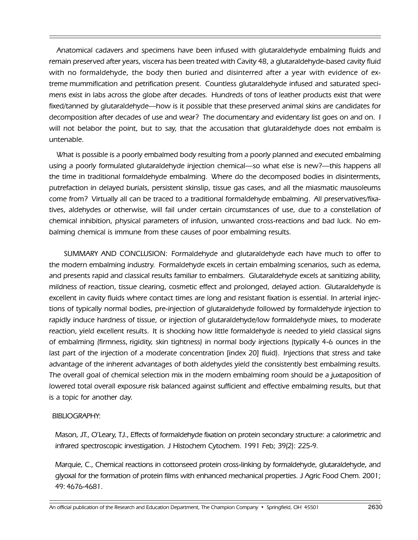Anatomical cadavers and specimens have been infused with glutaraldehyde embalming fluids and remain preserved after years, viscera has been treated with Cavity 48, a glutaraldehyde-based cavity fluid with no formaldehyde, the body then buried and disinterred after a year with evidence of extreme mummification and petrification present. Countless glutaraldehyde infused and saturated specimens exist in labs across the globe after decades. Hundreds of tons of leather products exist that were fixed/tanned by glutaraldehyde—how is it possible that these preserved animal skins are candidates for decomposition after decades of use and wear? The documentary and evidentary list goes on and on. I will not belabor the point, but to say, that the accusation that glutaraldehyde does not embalm is untenable.

What is possible is a poorly embalmed body resulting from a poorly planned and executed embalming using a poorly formulated glutaraldehyde injection chemical—so what else is new?—this happens all the time in traditional formaldehyde embalming. Where do the decomposed bodies in disinterments, putrefaction in delayed burials, persistent skinslip, tissue gas cases, and all the miasmatic mausoleums come from? Virtually all can be traced to a traditional formaldehyde embalming. All preservatives/fixatives, aldehydes or otherwise, will fail under certain circumstances of use, due to a constellation of chemical inhibition, physical parameters of infusion, unwanted cross-reactions and bad luck. No embalming chemical is immune from these causes of poor embalming results.

SUMMARY AND CONCLUSION: Formaldehyde and glutaraldehyde each have much to offer to the modern embalming industry. Formaldehyde excels in certain embalming scenarios, such as edema, and presents rapid and classical results familiar to embalmers. Glutaraldehyde excels at sanitizing ability, mildness of reaction, tissue clearing, cosmetic effect and prolonged, delayed action. Glutaraldehyde is excellent in cavity fluids where contact times are long and resistant fixation is essential. In arterial injections of typically normal bodies, pre-injection of glutaraldehyde followed by formaldehyde injection to rapidly induce hardness of tissue, or injection of glutaraldehyde/low formaldehyde mixes, to moderate reaction, yield excellent results. It is shocking how little formaldehyde is needed to yield classical signs of embalming (firmness, rigidity, skin tightness) in normal body injections (typically 4-6 ounces in the last part of the injection of a moderate concentration [index 20] fluid). Injections that stress and take advantage of the inherent advantages of both aldehydes yield the consistently best embalming results. The overall goal of chemical selection mix in the modern embalming room should be a juxtaposition of lowered total overall exposure risk balanced against sufficient and effective embalming results, but that is a topic for another day.

## BIBLIOGRAPHY:

Mason, JT., OíLeary, TJ., Effects of formaldehyde fixation on protein secondary structure: a calorimetric and infrared spectroscopic investigation. J Histochem Cytochem. 1991 Feb; 39(2): 225-9.

Marquie, C., Chemical reactions in cottonseed protein cross-linking by formaldehyde, glutaraldehyde, and glyoxal for the formation of protein films with enhanced mechanical properties. J Agric Food Chem. 2001; 49: 4676-4681.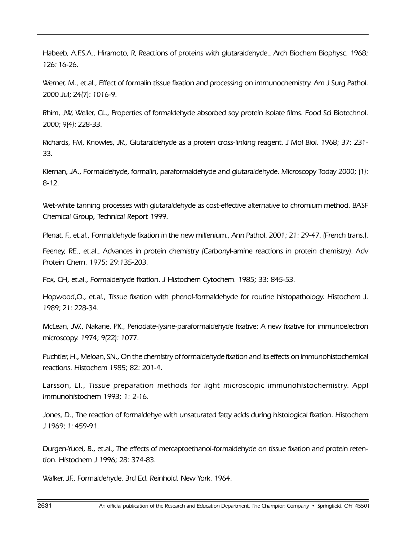Habeeb, A.F.S.A., Hiramoto, R, Reactions of proteins with glutaraldehyde., Arch Biochem Biophysc. 1968; 126: 16-26.

Werner, M., et.al., Effect of formalin tissue fixation and processing on immunochemistry. Am J Surg Pathol. 2000 Jul; 24(7): 1016-9.

Rhim, JW, Weller, CL., Properties of formaldehyde absorbed soy protein isolate films. Food Sci Biotechnol. 2000; 9(4): 228-33.

Richards, FM, Knowles, JR., Glutaraldehyde as a protein cross-linking reagent. J Mol BioI. 1968; 37: 231- 33.

Kiernan, JA., Formaldehyde, formalin, paraformaldehyde and glutaraldehyde. Microscopy Today 2000; (1): 8-12.

Wet-white tanning processes with glutaraldehyde as cost-effective alternative to chromium method. BASF Chemical Group, Technical Report 1999.

Plenat, F., et.al., Formaldehyde fixation in the new millenium., Ann Pathol. 2001; 21: 29-47. (French trans.).

Feeney, RE., et.al., Advances in protein chemistry (Carbonyl-amine reactions in protein chemistry). Adv Protein Chern. 1975; 29:135-203.

Fox, CH, et.al., Formaldehyde fixation. J Histochem Cytochem. 1985; 33: 845-53.

Hopwood,O., et.al., Tissue fixation with phenol-formaldehyde for routine histopathology. Histochem J. 1989; 21: 228-34.

McLean, JW., Nakane, PK., Periodate-lysine-paraformaldehyde fixative: A new fixative for immunoelectron microscopy. 1974; 9(22): 1077.

Puchtler, H., Meloan, SN., On the chemistry of formaldehyde fixation and its effects on immunohistochemical reactions. Histochem 1985; 82: 201-4.

Larsson, LI., Tissue preparation methods for light microscopic immunohistochemistry. Appl Immunohistochem 1993; 1: 2-16.

Jones, D., The reaction of formaldehye with unsaturated fatty acids during histological fixation. Histochem J 1969; 1: 459-91.

Durgen-Yucel, B., et.al., The effects of mercaptoethanol-formaldehyde on tissue fixation and protein retention. Histochem J 1996; 28: 374-83.

Walker, JF., Formaldehyde. 3rd Ed. Reinhold. New York. 1964.